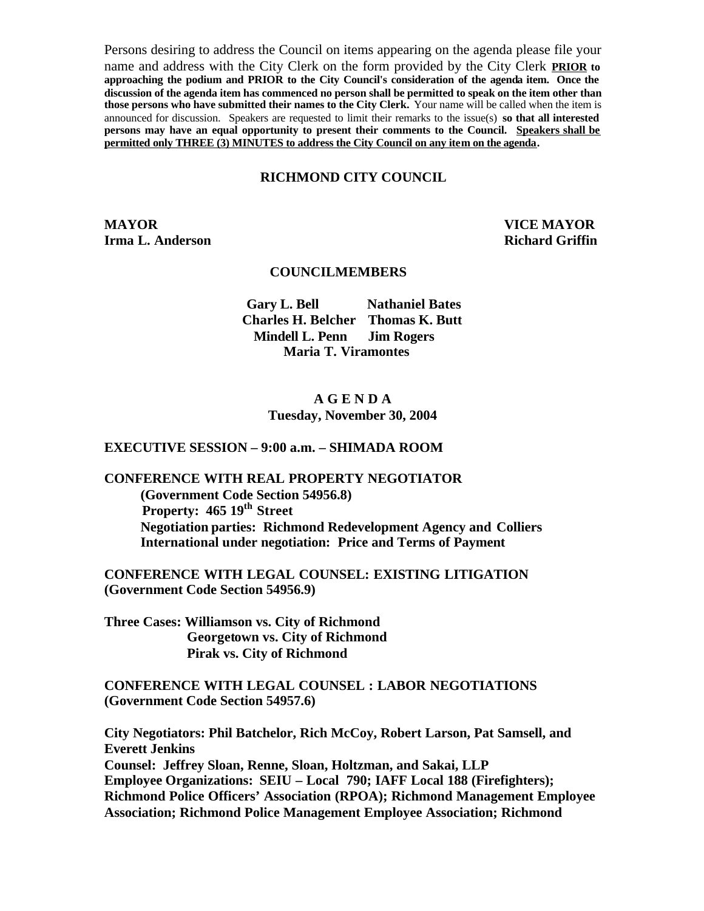Persons desiring to address the Council on items appearing on the agenda please file your name and address with the City Clerk on the form provided by the City Clerk **PRIOR to approaching the podium and PRIOR to the City Council's consideration of the agenda item. Once the discussion of the agenda item has commenced no person shall be permitted to speak on the item other than those persons who have submitted their names to the City Clerk.** Your name will be called when the item is announced for discussion. Speakers are requested to limit their remarks to the issue(s) **so that all interested persons may have an equal opportunity to present their comments to the Council. Speakers shall be permitted only THREE (3) MINUTES to address the City Council on any item on the agenda.**

#### **RICHMOND CITY COUNCIL**

**MAYOR VICE MAYOR Irma L. Anderson Richard Griffin** 

#### **COUNCILMEMBERS**

**Gary L. Bell Nathaniel Bates Charles H. Belcher Thomas K. Butt Mindell L. Penn Jim Rogers Maria T. Viramontes**

#### **A G E N D A Tuesday, November 30, 2004**

#### **EXECUTIVE SESSION – 9:00 a.m. – SHIMADA ROOM**

# **CONFERENCE WITH REAL PROPERTY NEGOTIATOR**

**(Government Code Section 54956.8) Property: 465 19th Street Negotiation parties: Richmond Redevelopment Agency and Colliers International under negotiation: Price and Terms of Payment**

**CONFERENCE WITH LEGAL COUNSEL: EXISTING LITIGATION (Government Code Section 54956.9)**

**Three Cases: Williamson vs. City of Richmond Georgetown vs. City of Richmond Pirak vs. City of Richmond**

**CONFERENCE WITH LEGAL COUNSEL : LABOR NEGOTIATIONS (Government Code Section 54957.6)**

**City Negotiators: Phil Batchelor, Rich McCoy, Robert Larson, Pat Samsell, and Everett Jenkins**

**Counsel: Jeffrey Sloan, Renne, Sloan, Holtzman, and Sakai, LLP Employee Organizations: SEIU – Local 790; IAFF Local 188 (Firefighters); Richmond Police Officers' Association (RPOA); Richmond Management Employee Association; Richmond Police Management Employee Association; Richmond**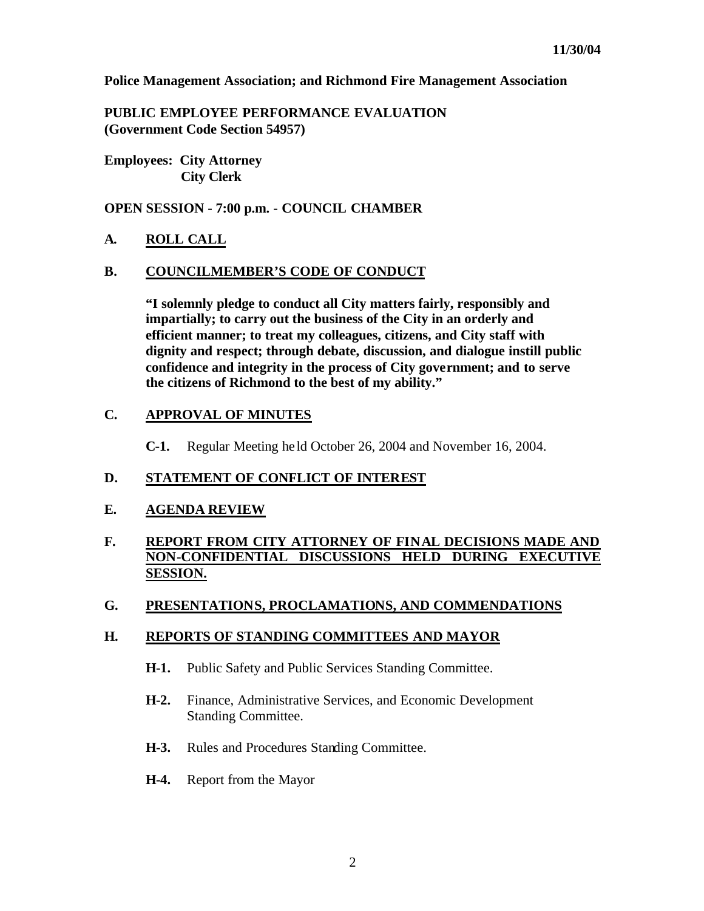**Police Management Association; and Richmond Fire Management Association**

**PUBLIC EMPLOYEE PERFORMANCE EVALUATION (Government Code Section 54957)**

**Employees: City Attorney City Clerk**

**OPEN SESSION - 7:00 p.m. - COUNCIL CHAMBER**

#### **A. ROLL CALL**

#### **B. COUNCILMEMBER'S CODE OF CONDUCT**

**"I solemnly pledge to conduct all City matters fairly, responsibly and impartially; to carry out the business of the City in an orderly and efficient manner; to treat my colleagues, citizens, and City staff with dignity and respect; through debate, discussion, and dialogue instill public confidence and integrity in the process of City government; and to serve the citizens of Richmond to the best of my ability."**

#### **C. APPROVAL OF MINUTES**

**C-1.** Regular Meeting he ld October 26, 2004 and November 16, 2004.

#### **D. STATEMENT OF CONFLICT OF INTEREST**

#### **E. AGENDA REVIEW**

## **F. REPORT FROM CITY ATTORNEY OF FINAL DECISIONS MADE AND NON-CONFIDENTIAL DISCUSSIONS HELD DURING EXECUTIVE SESSION.**

#### **G. PRESENTATIONS, PROCLAMATIONS, AND COMMENDATIONS**

#### **H. REPORTS OF STANDING COMMITTEES AND MAYOR**

- **H-1.** Public Safety and Public Services Standing Committee.
- **H-2.** Finance, Administrative Services, and Economic Development Standing Committee.
- **H-3.** Rules and Procedures Standing Committee.
- **H-4.** Report from the Mayor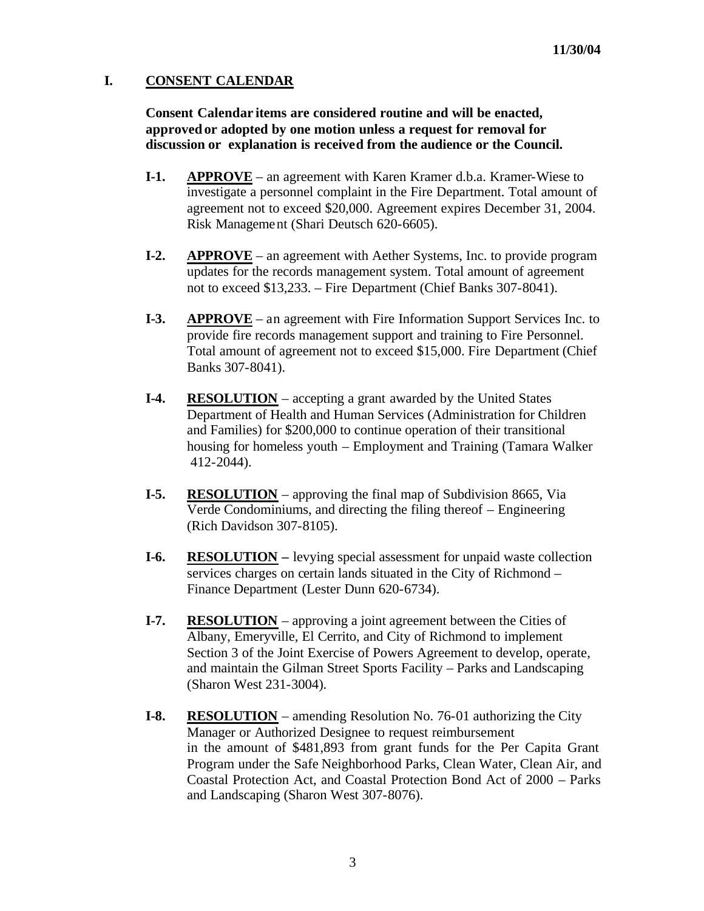## **I. CONSENT CALENDAR**

**Consent Calendar items are considered routine and will be enacted, approvedor adopted by one motion unless a request for removal for discussion or explanation is received from the audience or the Council.** 

- **I-1. APPROVE** an agreement with Karen Kramer d.b.a. Kramer-Wiese to investigate a personnel complaint in the Fire Department. Total amount of agreement not to exceed \$20,000. Agreement expires December 31, 2004. Risk Management (Shari Deutsch 620-6605).
- **I-2. APPROVE** an agreement with Aether Systems, Inc. to provide program updates for the records management system. Total amount of agreement not to exceed \$13,233. – Fire Department (Chief Banks 307-8041).
- **I-3. APPROVE** an agreement with Fire Information Support Services Inc. to provide fire records management support and training to Fire Personnel. Total amount of agreement not to exceed \$15,000. Fire Department (Chief Banks 307-8041).
- **I-4. RESOLUTION** accepting a grant awarded by the United States Department of Health and Human Services (Administration for Children and Families) for \$200,000 to continue operation of their transitional housing for homeless youth – Employment and Training (Tamara Walker 412-2044).
- **I-5. RESOLUTION** approving the final map of Subdivision 8665, Via Verde Condominiums, and directing the filing thereof – Engineering (Rich Davidson 307-8105).
- **I-6. RESOLUTION –** levying special assessment for unpaid waste collection services charges on certain lands situated in the City of Richmond – Finance Department (Lester Dunn 620-6734).
- **I-7. RESOLUTION** approving a joint agreement between the Cities of Albany, Emeryville, El Cerrito, and City of Richmond to implement Section 3 of the Joint Exercise of Powers Agreement to develop, operate, and maintain the Gilman Street Sports Facility – Parks and Landscaping (Sharon West 231-3004).
- **I-8. RESOLUTION** amending Resolution No. 76-01 authorizing the City Manager or Authorized Designee to request reimbursement in the amount of \$481,893 from grant funds for the Per Capita Grant Program under the Safe Neighborhood Parks, Clean Water, Clean Air, and Coastal Protection Act, and Coastal Protection Bond Act of 2000 – Parks and Landscaping (Sharon West 307-8076).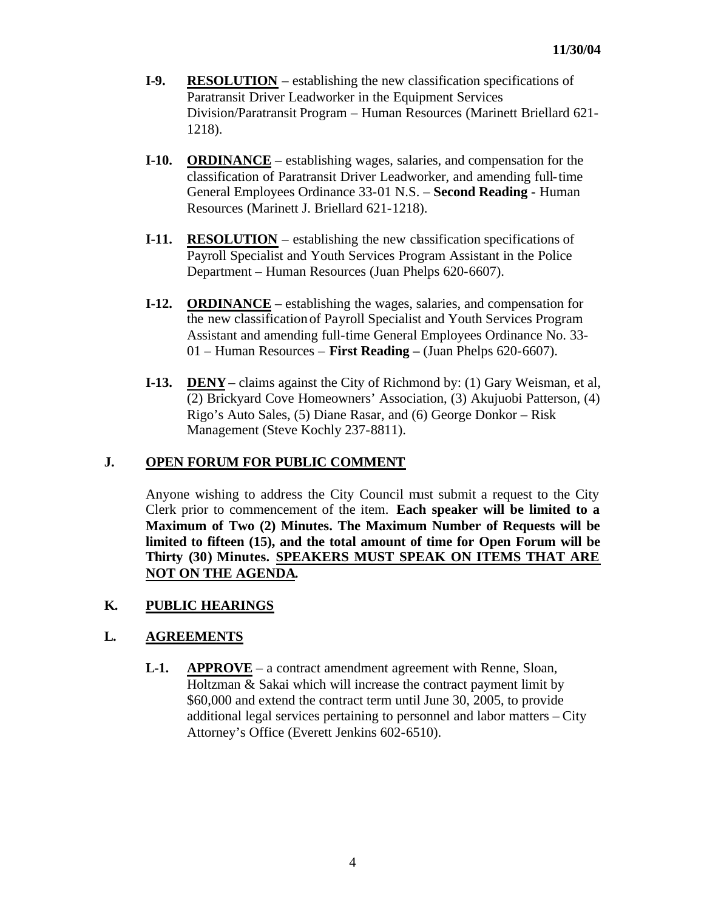- **I-9. RESOLUTION** establishing the new classification specifications of Paratransit Driver Leadworker in the Equipment Services Division/Paratransit Program – Human Resources (Marinett Briellard 621- 1218).
- **I-10. ORDINANCE** establishing wages, salaries, and compensation for the classification of Paratransit Driver Leadworker, and amending full-time General Employees Ordinance 33-01 N.S. – **Second Reading -** Human Resources (Marinett J. Briellard 621-1218).
- **I-11. RESOLUTION** establishing the new classification specifications of Payroll Specialist and Youth Services Program Assistant in the Police Department – Human Resources (Juan Phelps 620-6607).
- **I-12. ORDINANCE** establishing the wages, salaries, and compensation for the new classification of Payroll Specialist and Youth Services Program Assistant and amending full-time General Employees Ordinance No. 33- 01 – Human Resources – **First Reading –** (Juan Phelps 620-6607).
- **I-13. DENY** claims against the City of Richmond by: (1) Gary Weisman, et al, (2) Brickyard Cove Homeowners' Association, (3) Akujuobi Patterson, (4) Rigo's Auto Sales, (5) Diane Rasar, and (6) George Donkor – Risk Management (Steve Kochly 237-8811).

## **J. OPEN FORUM FOR PUBLIC COMMENT**

Anyone wishing to address the City Council must submit a request to the City Clerk prior to commencement of the item. **Each speaker will be limited to a Maximum of Two (2) Minutes. The Maximum Number of Requests will be limited to fifteen (15), and the total amount of time for Open Forum will be Thirty (30) Minutes. SPEAKERS MUST SPEAK ON ITEMS THAT ARE NOT ON THE AGENDA.**

## **K. PUBLIC HEARINGS**

#### **L. AGREEMENTS**

**L-1. APPROVE** – a contract amendment agreement with Renne, Sloan, Holtzman & Sakai which will increase the contract payment limit by \$60,000 and extend the contract term until June 30, 2005, to provide additional legal services pertaining to personnel and labor matters – City Attorney's Office (Everett Jenkins 602-6510).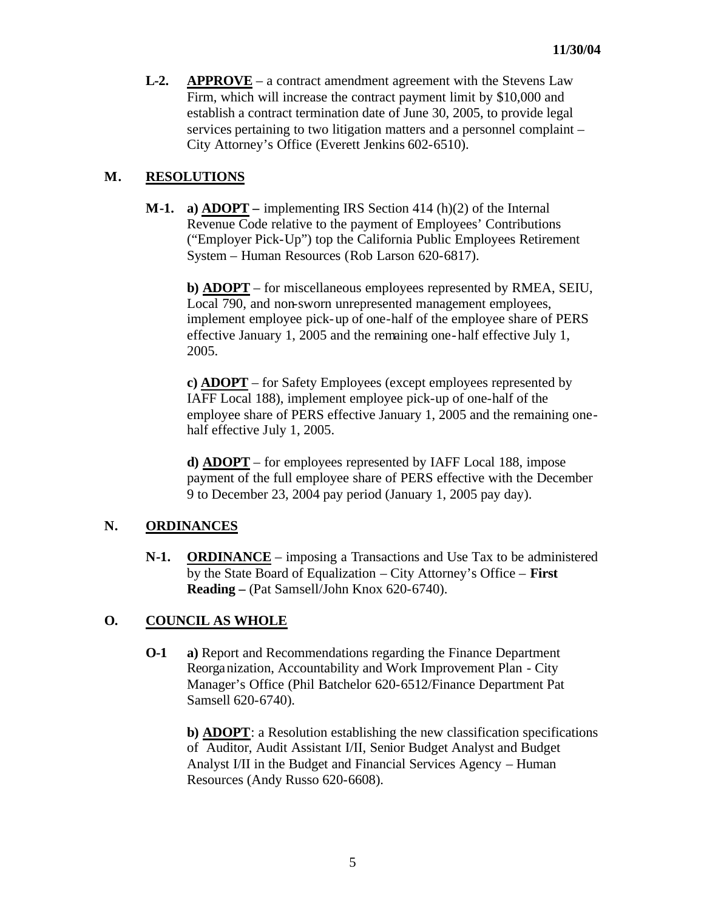**L-2. APPROVE** – a contract amendment agreement with the Stevens Law Firm, which will increase the contract payment limit by \$10,000 and establish a contract termination date of June 30, 2005, to provide legal services pertaining to two litigation matters and a personnel complaint – City Attorney's Office (Everett Jenkins 602-6510).

## **M. RESOLUTIONS**

**M-1. a) ADOPT –** implementing IRS Section 414 (h)(2) of the Internal Revenue Code relative to the payment of Employees' Contributions ("Employer Pick-Up") top the California Public Employees Retirement System – Human Resources (Rob Larson 620-6817).

**b) ADOPT** – for miscellaneous employees represented by RMEA, SEIU, Local 790, and non-sworn unrepresented management employees, implement employee pick-up of one-half of the employee share of PERS effective January 1, 2005 and the remaining one-half effective July 1, 2005.

**c) ADOPT** – for Safety Employees (except employees represented by IAFF Local 188), implement employee pick-up of one-half of the employee share of PERS effective January 1, 2005 and the remaining onehalf effective July 1, 2005.

**d) ADOPT** – for employees represented by IAFF Local 188, impose payment of the full employee share of PERS effective with the December 9 to December 23, 2004 pay period (January 1, 2005 pay day).

## **N. ORDINANCES**

**N-1. ORDINANCE** – imposing a Transactions and Use Tax to be administered by the State Board of Equalization – City Attorney's Office – **First Reading –** (Pat Samsell/John Knox 620-6740).

## **O. COUNCIL AS WHOLE**

**O-1 a)** Report and Recommendations regarding the Finance Department Reorganization, Accountability and Work Improvement Plan - City Manager's Office (Phil Batchelor 620-6512/Finance Department Pat Samsell 620-6740).

**b) ADOPT**: a Resolution establishing the new classification specifications of Auditor, Audit Assistant I/II, Senior Budget Analyst and Budget Analyst I/II in the Budget and Financial Services Agency – Human Resources (Andy Russo 620-6608).